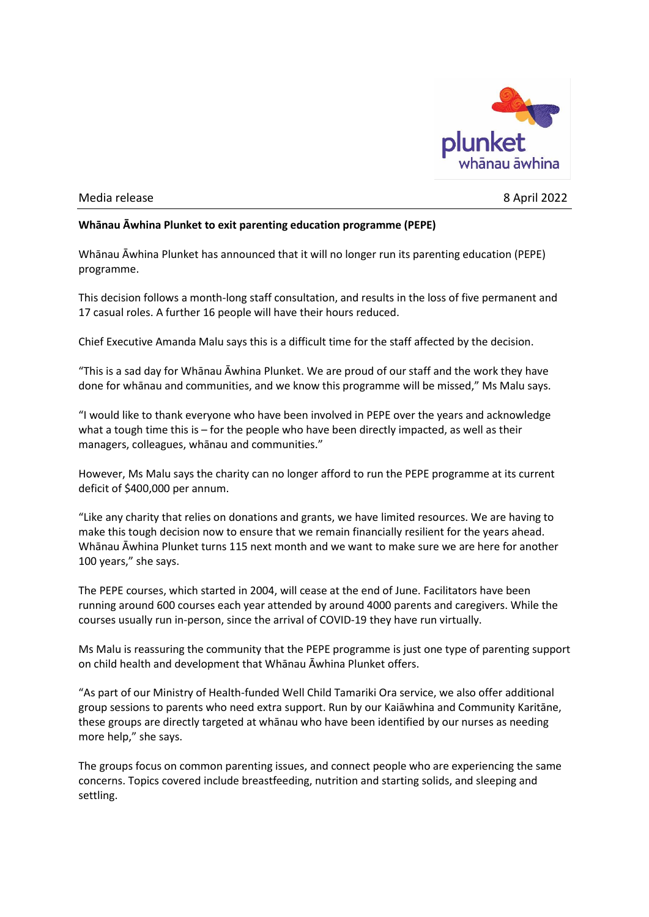

## Media release 8 April 2022

## **Whānau Āwhina Plunket to exit parenting education programme (PEPE)**

Whānau Āwhina Plunket has announced that it will no longer run its parenting education (PEPE) programme.

This decision follows a month-long staff consultation, and results in the loss of five permanent and 17 casual roles. A further 16 people will have their hours reduced.

Chief Executive Amanda Malu says this is a difficult time for the staff affected by the decision.

"This is a sad day for Whānau Āwhina Plunket. We are proud of our staff and the work they have done for whānau and communities, and we know this programme will be missed," Ms Malu says.

"I would like to thank everyone who have been involved in PEPE over the years and acknowledge what a tough time this is – for the people who have been directly impacted, as well as their managers, colleagues, whānau and communities."

However, Ms Malu says the charity can no longer afford to run the PEPE programme at its current deficit of \$400,000 per annum.

"Like any charity that relies on donations and grants, we have limited resources. We are having to make this tough decision now to ensure that we remain financially resilient for the years ahead. Whānau Āwhina Plunket turns 115 next month and we want to make sure we are here for another 100 years," she says.

The PEPE courses, which started in 2004, will cease at the end of June. Facilitators have been running around 600 courses each year attended by around 4000 parents and caregivers. While the courses usually run in-person, since the arrival of COVID-19 they have run virtually.

Ms Malu is reassuring the community that the PEPE programme is just one type of parenting support on child health and development that Whānau Āwhina Plunket offers.

"As part of our Ministry of Health-funded Well Child Tamariki Ora service, we also offer additional group sessions to parents who need extra support. Run by our Kaiāwhina and Community Karitāne, these groups are directly targeted at whānau who have been identified by our nurses as needing more help," she says.

The groups focus on common parenting issues, and connect people who are experiencing the same concerns. Topics covered include breastfeeding, nutrition and starting solids, and sleeping and settling.